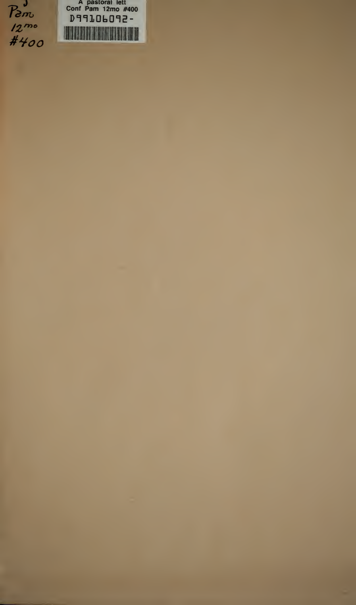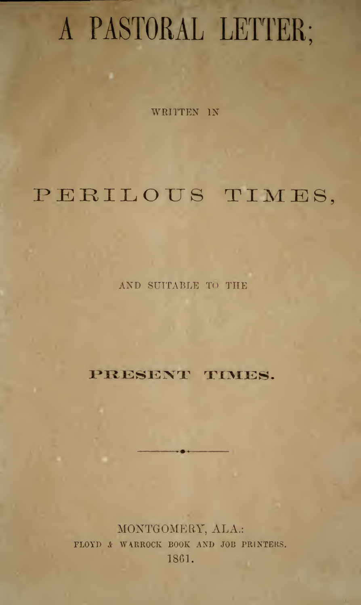## A PASTORAL LETTER;

WRITTEN IN

## PERILOUS TIMES,

AND SUITABLE TO THE

## PRESENT TIMES.

MONTGOMERY, ALA.: FLOYD & WARROCK BOOK AND JOB PRINTERS. 1861.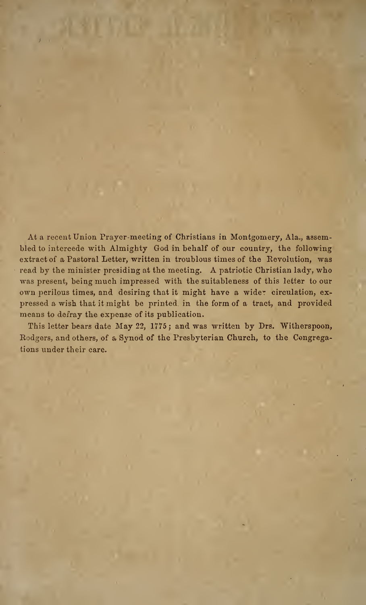At a recent Union Prayer meeting of Christians in Montgomery, Ala., assembled to intercede with Almighty God in behalf of our country, the following extract of a Pastoral Letter, written in troublous times of the Revolution, was read by the minister presiding at the meeting. A patriotic Christian lady, who was present, being much impressed with the suitableness of this letter to our own perilous times, and desiring that it might have a wider circulation, expressed a wish that it might be printed in the form of a tract, and provided means to defray the expense of its publication.

This letter bears date May 22, 1775; and was written by Drs. Witherspoon, Rodgers, and others, of a Synod of the Presbyterian Church, to the Congregations under their care.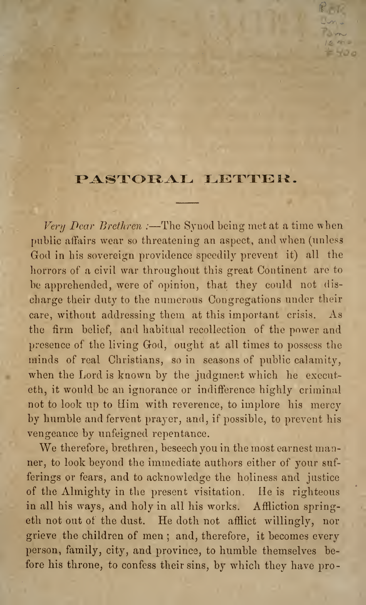## PASTORAL LETTER.

400

 $V<sub>errj</sub>$  Dear Brethren :—The Synod being met at a time when public affairs wear so threatening an aspect, and when (unless God in his sovereign providence speedily prevent it) all the horrors of a civil war throughout this great Continent are to be apprehended, were of opinion, that they could not dis charge their duty to the numerous Congregations under their care, without addressing them at this important crisis. As the firm belief, and habitual recollection of the power and presence of the living God, ought at all times to possess the minds of real Christians, so in seasons of public calamity, when the Lord is known by the judgment which he executeth, it would be an ignorance or indifference highly criminal not to look up to Him with reverence, to implore his mercy by humble and fervent prayer, and, if possible, to prevent his vengeance by unfeigned repentance.

We therefore, brethren, beseech you in the most earnest manner, to look beyond the immediate authors either of your suf ferings or fears, and to acknowledge the holiness and justice of the Almighty in the present visitation. He is righteous in all his ways, and holy in all his works. Affliction springeth not out of the dust. He doth not afflict willingly, nor grieve the children of men ; and, therefore, it becomes every person, family, city, and province, to humble themselves before his throne, to confess their sins, by which they have pro-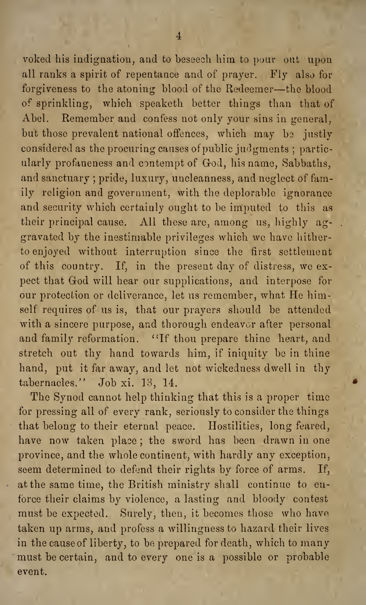voked his indignation, and to beseech him to pour out upon all ranks a spirit of repentance and of prayer. Fly also for forgiveness to the atoning blood of the Redeemer—the blood of sprinkling, which speaketh better things than that of Abel. Remember and confess not only your sins in general, but those prevalent national offences, which may be justly considered as the procuring causes of public judgments ; particularly profaneness and contempt of God, his name, Sabbaths, and sanctuary ; pride, luxury, uncleanness, and neglect of family religion and government, with the deplorable ignorance and security which certainly ought to be imputed to this as their principal cause. All these are, among us, highly ag-. gravated by the inestimable privileges which we have hitherto enjoyed without interruption since the first settlement of this country. If, in the present day of distress, we expect that God will hear our supplications, and interpose for our protection or deliverance, let us remember, what He himself requires of us is, that our prayers should be attended with a sincere purpose, and thorough endeavor after personal and family reformation. "If thou prepare thine heart, and stretch out thy hand towards him, if iniquity be in thine hand, put it far away, and let not wickedness dwell in thy tabernacles." Job xi. 13, 14.

The Synod cannot help thinking that this is a proper time for pressing all of every rank, seriously to consider the things that belong to their eternal peace. Hostilities, long feared, have now taken place ; the sword has been drawn in one province, and the whole continent, with hardly any exception, seem determined to defend their rights by force of arms. If, at the same time, the British ministry shall continue to enforce their claims by violence, a lasting and bloody contest must be expected. Surely, then, it becomes those who have taken up arms, and profess a willingness to hazard their lives in the cause of liberty, to be prepared for death, which to many must be certain, and to every one is a possible or probable event.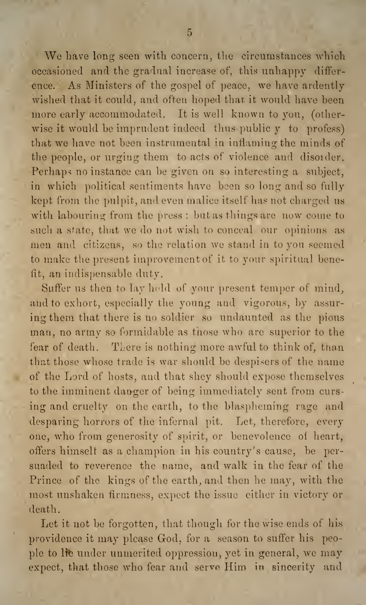We have long seen with concern, the circumstances which occasioned and the gradual increase of, this unhappy difference. As Ministers of the gospel of peace, we have ardentlywished that it could, and often hoped that it would have been more early accommodated. It is well known to you, (otherwise it would be imprudent indeed thus public y to profess) that we have not been instrumental in inflaming the minds of the people, or urging them to acts of violence and disouler. Perhaps no instance can be given on so interesting a subject, in which political sentiments have been so long and so fully kept from the pulpit, and even malice itself has not charged us with labouring from the press : but as things are now come to such a state, that we do not wish to conceal our opinions as men and citizens, so the relation we stand in to you seemed to make the present improvement of it to your spiritual benelit, an indispensable duty.

Suffer us then to lay hold of your present temper of mind, and to exhort, especially the young and vigorous, by assuring them that there is no soldier so undaunted as the pious man, no army so formidable as those who are superior to the fear of death. There is nothing more awful to think of, than that those whose trade is war should be despisers of the name of the Lord of hosts, and that shey should expose themselves to the imminent danger of being immediately sent from curs ing and cruelty on the earth, to the blaspheming rage and desparing horrors of the infernal pit. Let, therefore, every one, who from generosity of spirit, or benevolence of heart, offers himselt as a champion in his country's cause, be per suaded to reverence the name, and walk in the fear of the Prince of the kings of the earth, and then he may, with the most unshaken firmness, expect the issue cither in victory or death

Let it not be forgotten, that though for the wise ends of his providence it may please God, for a season to suffer his people to Ifc under unmerited oppression, yet in general, we may expect, that those who fear and servo Him in sincerity and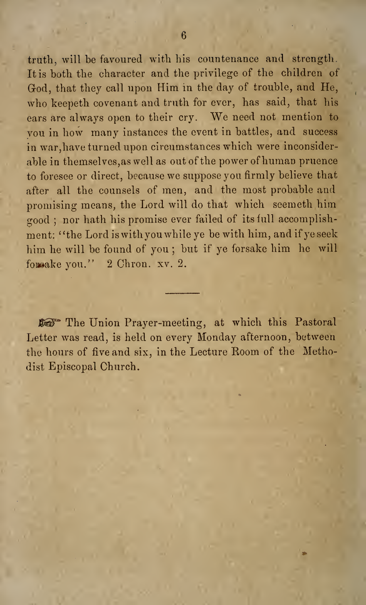truth, will be favoured with his countenance and strength. It is both the character and the privilege of the children of God, that they call upon Him in the day of trouble, and He, who keepeth covenant and truth for ever, has said, that his ears arc always open to their cry. We need not mention to you in how many instances the event in battles, and success in war, have turned upon circumstances which were inconsiderable in themselves, as well as out of the power of human pruence to foresee or direct, because we suppose you firmly believe that after all the counsels of men, and the most probable and promising means, the Lord will do that which seemeth him good ; nor hath his promise ever failed of its full accomplishment: "the Lord is with you while ye be with him, and if ye seek him he will be found of you ; but if ye forsake him he will foiwake you." 2 Chron. xv. 2.

The Union Prayer-meeting, at which this Pastoral Letter was read, is held on every Monday afternoon, between the hours of five and six, in the Lecture Room of the Methodist Episcopal Church.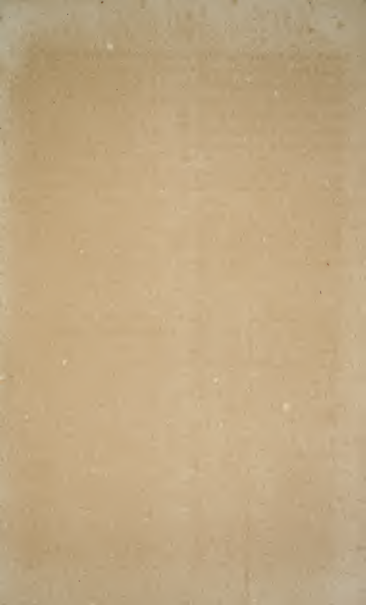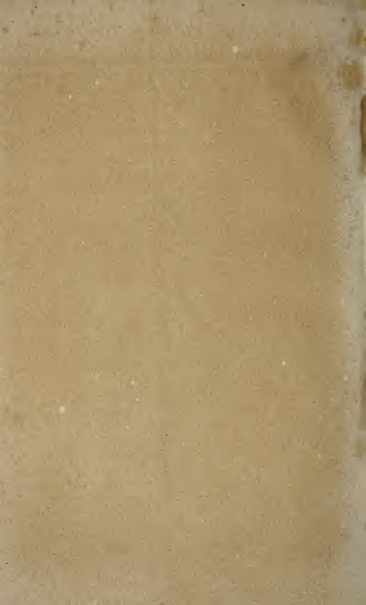